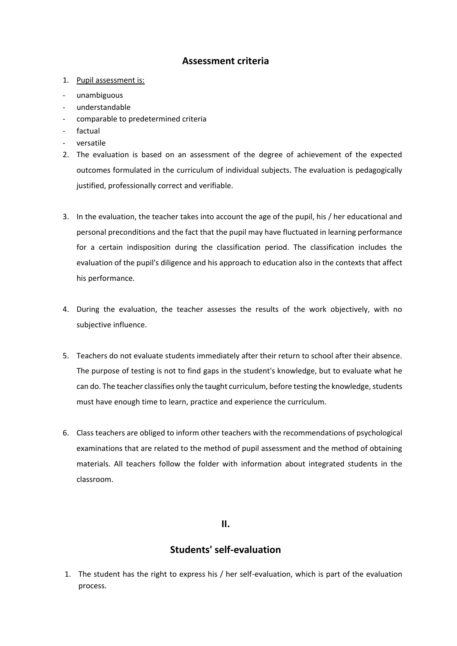# **Assessment criteria**

- 1. Pupil assessment is:
- unambiguous
- understandable
- comparable to predetermined criteria
- factual
- versatile
- 2. The evaluation is based on an assessment of the degree of achievement of the expected outcomes formulated in the curriculum of individual subjects. The evaluation is pedagogically justified, professionally correct and verifiable.
- 3. In the evaluation, the teacher takes into account the age of the pupil, his / her educational and personal preconditions and the fact that the pupil may have fluctuated in learning performance for a certain indisposition during the classification period. The classification includes the evaluation of the pupil's diligence and his approach to education also in the contexts that affect his performance.
- 4. During the evaluation, the teacher assesses the results of the work objectively, with no subjective influence.
- 5. Teachers do not evaluate students immediately after their return to school after their absence. The purpose of testing is not to find gaps in the student's knowledge, but to evaluate what he can do. The teacher classifies only the taught curriculum, before testing the knowledge, students must have enough time to learn, practice and experience the curriculum.
- 6. Class teachers are obliged to inform other teachers with the recommendations of psychological examinations that are related to the method of pupil assessment and the method of obtaining materials. All teachers follow the folder with information about integrated students in the classroom.

#### **II.**

# **Students' self-evaluation**

1. The student has the right to express his / her self-evaluation, which is part of the evaluation process.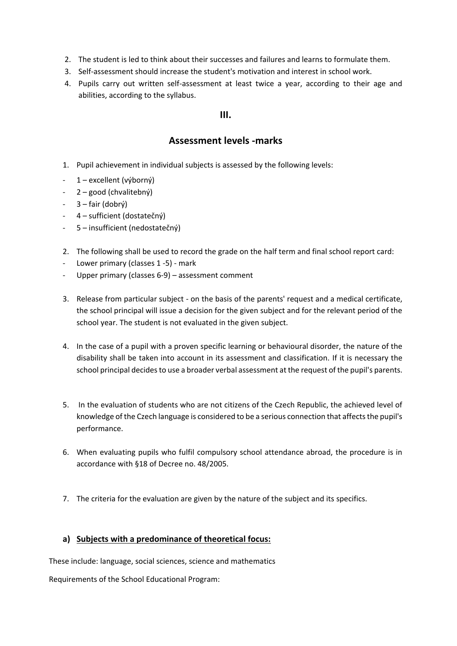- 2. The student is led to think about their successes and failures and learns to formulate them.
- 3. Self-assessment should increase the student's motivation and interest in school work.
- 4. Pupils carry out written self-assessment at least twice a year, according to their age and abilities, according to the syllabus.

### **III.**

# **Assessment levels -marks**

- 1. Pupil achievement in individual subjects is assessed by the following levels:
- 1 excellent (výborný)
- 2 good (chvalitebný)
- 3 fair (dobrý)
- 4 sufficient (dostatečný)
- 5 insufficient (nedostatečný)
- 2. The following shall be used to record the grade on the half term and final school report card:
- Lower primary (classes 1 -5) mark
- Upper primary (classes 6-9) assessment comment
- 3. Release from particular subject on the basis of the parents' request and a medical certificate, the school principal will issue a decision for the given subject and for the relevant period of the school year. The student is not evaluated in the given subject.
- 4. In the case of a pupil with a proven specific learning or behavioural disorder, the nature of the disability shall be taken into account in its assessment and classification. If it is necessary the school principal decides to use a broader verbal assessment at the request of the pupil's parents.
- 5. In the evaluation of students who are not citizens of the Czech Republic, the achieved level of knowledge of the Czech language is considered to be a serious connection that affects the pupil's performance.
- 6. When evaluating pupils who fulfil compulsory school attendance abroad, the procedure is in accordance with §18 of Decree no. 48/2005.
- 7. The criteria for the evaluation are given by the nature of the subject and its specifics.

#### **a) Subjects with a predominance of theoretical focus:**

These include: language, social sciences, science and mathematics

Requirements of the School Educational Program: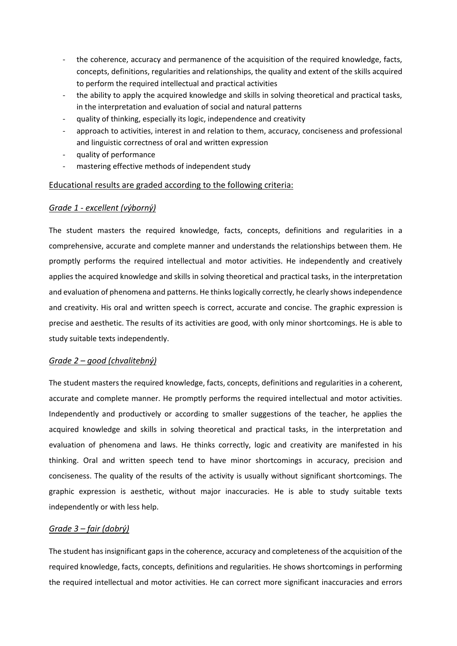- the coherence, accuracy and permanence of the acquisition of the required knowledge, facts, concepts, definitions, regularities and relationships, the quality and extent of the skills acquired to perform the required intellectual and practical activities
- the ability to apply the acquired knowledge and skills in solving theoretical and practical tasks, in the interpretation and evaluation of social and natural patterns
- quality of thinking, especially its logic, independence and creativity
- approach to activities, interest in and relation to them, accuracy, conciseness and professional and linguistic correctness of oral and written expression
- quality of performance
- mastering effective methods of independent study

### Educational results are graded according to the following criteria:

#### *Grade 1 - excellent (výborný)*

The student masters the required knowledge, facts, concepts, definitions and regularities in a comprehensive, accurate and complete manner and understands the relationships between them. He promptly performs the required intellectual and motor activities. He independently and creatively applies the acquired knowledge and skills in solving theoretical and practical tasks, in the interpretation and evaluation of phenomena and patterns. He thinks logically correctly, he clearly shows independence and creativity. His oral and written speech is correct, accurate and concise. The graphic expression is precise and aesthetic. The results of its activities are good, with only minor shortcomings. He is able to study suitable texts independently.

#### *Grade 2 – good (chvalitebný)*

The student masters the required knowledge, facts, concepts, definitions and regularities in a coherent, accurate and complete manner. He promptly performs the required intellectual and motor activities. Independently and productively or according to smaller suggestions of the teacher, he applies the acquired knowledge and skills in solving theoretical and practical tasks, in the interpretation and evaluation of phenomena and laws. He thinks correctly, logic and creativity are manifested in his thinking. Oral and written speech tend to have minor shortcomings in accuracy, precision and conciseness. The quality of the results of the activity is usually without significant shortcomings. The graphic expression is aesthetic, without major inaccuracies. He is able to study suitable texts independently or with less help.

### *Grade 3 – fair (dobrý)*

The student has insignificant gaps in the coherence, accuracy and completeness of the acquisition of the required knowledge, facts, concepts, definitions and regularities. He shows shortcomings in performing the required intellectual and motor activities. He can correct more significant inaccuracies and errors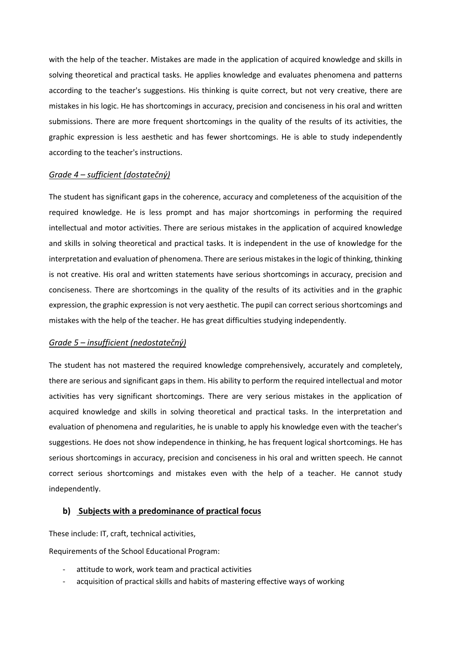with the help of the teacher. Mistakes are made in the application of acquired knowledge and skills in solving theoretical and practical tasks. He applies knowledge and evaluates phenomena and patterns according to the teacher's suggestions. His thinking is quite correct, but not very creative, there are mistakes in his logic. He has shortcomings in accuracy, precision and conciseness in his oral and written submissions. There are more frequent shortcomings in the quality of the results of its activities, the graphic expression is less aesthetic and has fewer shortcomings. He is able to study independently according to the teacher's instructions.

#### *Grade 4 – sufficient (dostatečný)*

The student has significant gaps in the coherence, accuracy and completeness of the acquisition of the required knowledge. He is less prompt and has major shortcomings in performing the required intellectual and motor activities. There are serious mistakes in the application of acquired knowledge and skills in solving theoretical and practical tasks. It is independent in the use of knowledge for the interpretation and evaluation of phenomena. There are serious mistakes in the logic of thinking, thinking is not creative. His oral and written statements have serious shortcomings in accuracy, precision and conciseness. There are shortcomings in the quality of the results of its activities and in the graphic expression, the graphic expression is not very aesthetic. The pupil can correct serious shortcomings and mistakes with the help of the teacher. He has great difficulties studying independently.

#### *Grade 5 – insufficient (nedostatečný)*

The student has not mastered the required knowledge comprehensively, accurately and completely, there are serious and significant gaps in them. His ability to perform the required intellectual and motor activities has very significant shortcomings. There are very serious mistakes in the application of acquired knowledge and skills in solving theoretical and practical tasks. In the interpretation and evaluation of phenomena and regularities, he is unable to apply his knowledge even with the teacher's suggestions. He does not show independence in thinking, he has frequent logical shortcomings. He has serious shortcomings in accuracy, precision and conciseness in his oral and written speech. He cannot correct serious shortcomings and mistakes even with the help of a teacher. He cannot study independently.

#### **b) Subjects with a predominance of practical focus**

These include: IT, craft, technical activities,

Requirements of the School Educational Program:

- attitude to work, work team and practical activities
- acquisition of practical skills and habits of mastering effective ways of working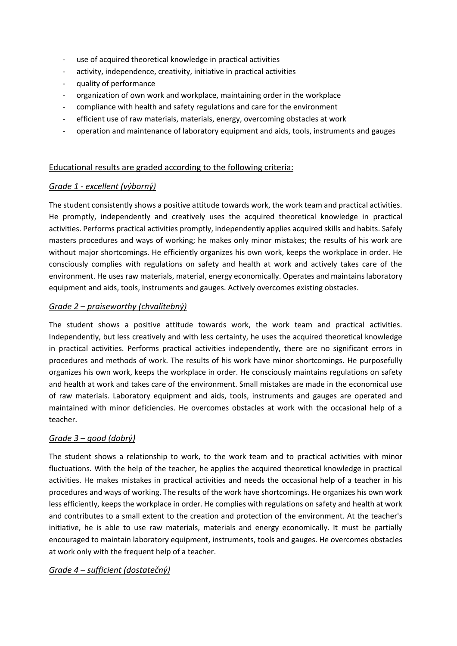- use of acquired theoretical knowledge in practical activities
- activity, independence, creativity, initiative in practical activities
- quality of performance
- organization of own work and workplace, maintaining order in the workplace
- compliance with health and safety regulations and care for the environment
- efficient use of raw materials, materials, energy, overcoming obstacles at work
- operation and maintenance of laboratory equipment and aids, tools, instruments and gauges

#### Educational results are graded according to the following criteria:

#### *Grade 1 - excellent (výborný)*

The student consistently shows a positive attitude towards work, the work team and practical activities. He promptly, independently and creatively uses the acquired theoretical knowledge in practical activities. Performs practical activities promptly, independently applies acquired skills and habits. Safely masters procedures and ways of working; he makes only minor mistakes; the results of his work are without major shortcomings. He efficiently organizes his own work, keeps the workplace in order. He consciously complies with regulations on safety and health at work and actively takes care of the environment. He uses raw materials, material, energy economically. Operates and maintains laboratory equipment and aids, tools, instruments and gauges. Actively overcomes existing obstacles.

#### *Grade 2 – praiseworthy (chvalitebný)*

The student shows a positive attitude towards work, the work team and practical activities. Independently, but less creatively and with less certainty, he uses the acquired theoretical knowledge in practical activities. Performs practical activities independently, there are no significant errors in procedures and methods of work. The results of his work have minor shortcomings. He purposefully organizes his own work, keeps the workplace in order. He consciously maintains regulations on safety and health at work and takes care of the environment. Small mistakes are made in the economical use of raw materials. Laboratory equipment and aids, tools, instruments and gauges are operated and maintained with minor deficiencies. He overcomes obstacles at work with the occasional help of a teacher.

#### *Grade 3 – good (dobrý)*

The student shows a relationship to work, to the work team and to practical activities with minor fluctuations. With the help of the teacher, he applies the acquired theoretical knowledge in practical activities. He makes mistakes in practical activities and needs the occasional help of a teacher in his procedures and ways of working. The results of the work have shortcomings. He organizes his own work less efficiently, keeps the workplace in order. He complies with regulations on safety and health at work and contributes to a small extent to the creation and protection of the environment. At the teacher's initiative, he is able to use raw materials, materials and energy economically. It must be partially encouraged to maintain laboratory equipment, instruments, tools and gauges. He overcomes obstacles at work only with the frequent help of a teacher.

### *Grade 4 – sufficient (dostatečný)*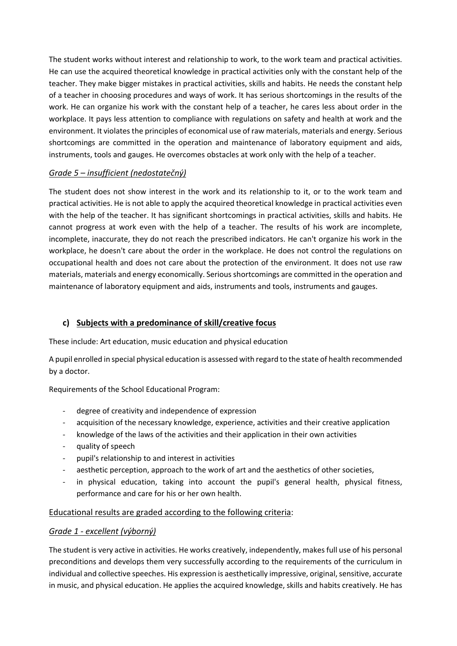The student works without interest and relationship to work, to the work team and practical activities. He can use the acquired theoretical knowledge in practical activities only with the constant help of the teacher. They make bigger mistakes in practical activities, skills and habits. He needs the constant help of a teacher in choosing procedures and ways of work. It has serious shortcomings in the results of the work. He can organize his work with the constant help of a teacher, he cares less about order in the workplace. It pays less attention to compliance with regulations on safety and health at work and the environment. It violates the principles of economical use of raw materials, materials and energy. Serious shortcomings are committed in the operation and maintenance of laboratory equipment and aids, instruments, tools and gauges. He overcomes obstacles at work only with the help of a teacher.

## *Grade 5 – insufficient (nedostatečný)*

The student does not show interest in the work and its relationship to it, or to the work team and practical activities. He is not able to apply the acquired theoretical knowledge in practical activities even with the help of the teacher. It has significant shortcomings in practical activities, skills and habits. He cannot progress at work even with the help of a teacher. The results of his work are incomplete, incomplete, inaccurate, they do not reach the prescribed indicators. He can't organize his work in the workplace, he doesn't care about the order in the workplace. He does not control the regulations on occupational health and does not care about the protection of the environment. It does not use raw materials, materials and energy economically. Serious shortcomings are committed in the operation and maintenance of laboratory equipment and aids, instruments and tools, instruments and gauges.

## **c) Subjects with a predominance of skill/creative focus**

These include: Art education, music education and physical education

A pupil enrolled in special physical education is assessed with regard to the state of health recommended by a doctor.

Requirements of the School Educational Program:

- degree of creativity and independence of expression
- acquisition of the necessary knowledge, experience, activities and their creative application
- knowledge of the laws of the activities and their application in their own activities
- quality of speech
- pupil's relationship to and interest in activities
- aesthetic perception, approach to the work of art and the aesthetics of other societies,
- in physical education, taking into account the pupil's general health, physical fitness, performance and care for his or her own health.

### Educational results are graded according to the following criteria:

### *Grade 1 - excellent (výborný)*

The student is very active in activities. He works creatively, independently, makes full use of his personal preconditions and develops them very successfully according to the requirements of the curriculum in individual and collective speeches. His expression is aesthetically impressive, original, sensitive, accurate in music, and physical education. He applies the acquired knowledge, skills and habits creatively. He has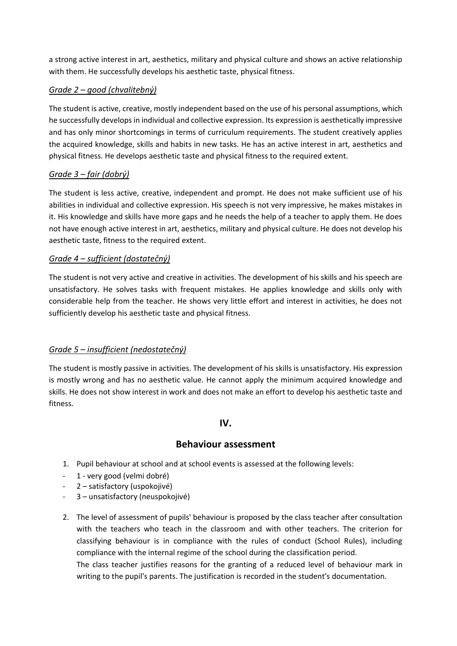a strong active interest in art, aesthetics, military and physical culture and shows an active relationship with them. He successfully develops his aesthetic taste, physical fitness.

## *Grade 2 – good (chvalitebný)*

The student is active, creative, mostly independent based on the use of his personal assumptions, which he successfully develops in individual and collective expression. Its expression is aesthetically impressive and has only minor shortcomings in terms of curriculum requirements. The student creatively applies the acquired knowledge, skills and habits in new tasks. He has an active interest in art, aesthetics and physical fitness. He develops aesthetic taste and physical fitness to the required extent.

# *Grade 3 – fair (dobrý)*

The student is less active, creative, independent and prompt. He does not make sufficient use of his abilities in individual and collective expression. His speech is not very impressive, he makes mistakes in it. His knowledge and skills have more gaps and he needs the help of a teacher to apply them. He does not have enough active interest in art, aesthetics, military and physical culture. He does not develop his aesthetic taste, fitness to the required extent.

## *Grade 4 – sufficient (dostatečný)*

The student is not very active and creative in activities. The development of his skills and his speech are unsatisfactory. He solves tasks with frequent mistakes. He applies knowledge and skills only with considerable help from the teacher. He shows very little effort and interest in activities, he does not sufficiently develop his aesthetic taste and physical fitness.

## *Grade 5 – insufficient (nedostatečný)*

The student is mostly passive in activities. The development of his skills is unsatisfactory. His expression is mostly wrong and has no aesthetic value. He cannot apply the minimum acquired knowledge and skills. He does not show interest in work and does not make an effort to develop his aesthetic taste and fitness.

## **IV.**

# **Behaviour assessment**

- 1. Pupil behaviour at school and at school events is assessed at the following levels:
- 1 very good (velmi dobré)
- 2 satisfactory (uspokojivé)
- 3 unsatisfactory (neuspokojivé)
- 2. The level of assessment of pupils' behaviour is proposed by the class teacher after consultation with the teachers who teach in the classroom and with other teachers. The criterion for classifying behaviour is in compliance with the rules of conduct (School Rules), including compliance with the internal regime of the school during the classification period.

The class teacher justifies reasons for the granting of a reduced level of behaviour mark in writing to the pupil's parents. The justification is recorded in the student's documentation.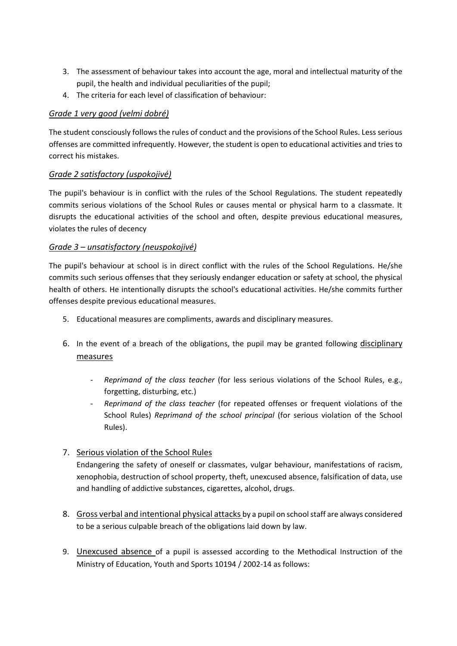- 3. The assessment of behaviour takes into account the age, moral and intellectual maturity of the pupil, the health and individual peculiarities of the pupil;
- 4. The criteria for each level of classification of behaviour:

## *Grade 1 very good (velmi dobré)*

The student consciously follows the rules of conduct and the provisions of the School Rules. Less serious offenses are committed infrequently. However, the student is open to educational activities and tries to correct his mistakes.

## *Grade 2 satisfactory (uspokojivé)*

The pupil's behaviour is in conflict with the rules of the School Regulations. The student repeatedly commits serious violations of the School Rules or causes mental or physical harm to a classmate. It disrupts the educational activities of the school and often, despite previous educational measures, violates the rules of decency

## *Grade 3 – unsatisfactory (neuspokojivé)*

The pupil's behaviour at school is in direct conflict with the rules of the School Regulations. He/she commits such serious offenses that they seriously endanger education or safety at school, the physical health of others. He intentionally disrupts the school's educational activities. He/she commits further offenses despite previous educational measures.

- 5. Educational measures are compliments, awards and disciplinary measures.
- 6. In the event of a breach of the obligations, the pupil may be granted following disciplinary measures
	- *Reprimand of the class teacher* (for less serious violations of the School Rules, e.g., forgetting, disturbing, etc.)
	- *Reprimand of the class teacher* (for repeated offenses or frequent violations of the School Rules) *Reprimand of the school principal* (for serious violation of the School Rules).

# 7. Serious violation of the School Rules

Endangering the safety of oneself or classmates, vulgar behaviour, manifestations of racism, xenophobia, destruction of school property, theft, unexcused absence, falsification of data, use and handling of addictive substances, cigarettes, alcohol, drugs.

- 8. Gross verbal and intentional physical attacks by a pupil on school staff are always considered to be a serious culpable breach of the obligations laid down by law.
- 9. Unexcused absence of a pupil is assessed according to the Methodical Instruction of the Ministry of Education, Youth and Sports 10194 / 2002-14 as follows: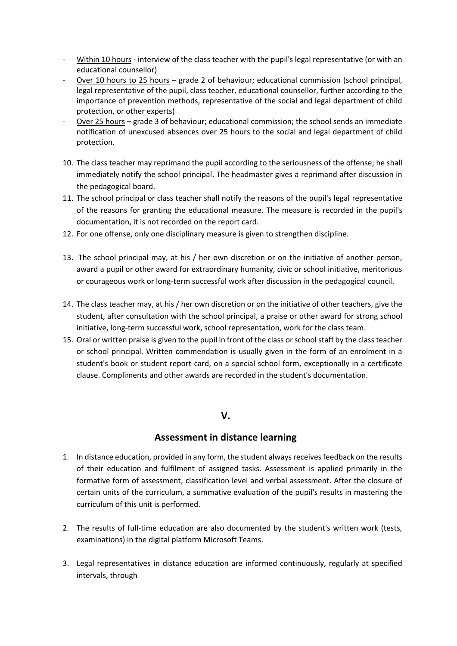- Within 10 hours interview of the class teacher with the pupil's legal representative (or with an educational counsellor)
- Over 10 hours to 25 hours grade 2 of behaviour; educational commission (school principal, legal representative of the pupil, class teacher, educational counsellor, further according to the importance of prevention methods, representative of the social and legal department of child protection, or other experts)
- Over 25 hours grade 3 of behaviour; educational commission; the school sends an immediate notification of unexcused absences over 25 hours to the social and legal department of child protection.
- 10. The class teacher may reprimand the pupil according to the seriousness of the offense; he shall immediately notify the school principal. The headmaster gives a reprimand after discussion in the pedagogical board.
- 11. The school principal or class teacher shall notify the reasons of the pupil's legal representative of the reasons for granting the educational measure. The measure is recorded in the pupil's documentation, it is not recorded on the report card.
- 12. For one offense, only one disciplinary measure is given to strengthen discipline.
- 13. The school principal may, at his / her own discretion or on the initiative of another person, award a pupil or other award for extraordinary humanity, civic or school initiative, meritorious or courageous work or long-term successful work after discussion in the pedagogical council.
- 14. The class teacher may, at his / her own discretion or on the initiative of other teachers, give the student, after consultation with the school principal, a praise or other award for strong school initiative, long-term successful work, school representation, work for the class team.
- 15. Oral or written praise is given to the pupil in front of the class or school staff by the class teacher or school principal. Written commendation is usually given in the form of an enrolment in a student's book or student report card, on a special school form, exceptionally in a certificate clause. Compliments and other awards are recorded in the student's documentation.

## **V.**

# **Assessment in distance learning**

- 1. In distance education, provided in any form, the student always receives feedback on the results of their education and fulfilment of assigned tasks. Assessment is applied primarily in the formative form of assessment, classification level and verbal assessment. After the closure of certain units of the curriculum, a summative evaluation of the pupil's results in mastering the curriculum of this unit is performed.
- 2. The results of full-time education are also documented by the student's written work (tests, examinations) in the digital platform Microsoft Teams.
- 3. Legal representatives in distance education are informed continuously, regularly at specified intervals, through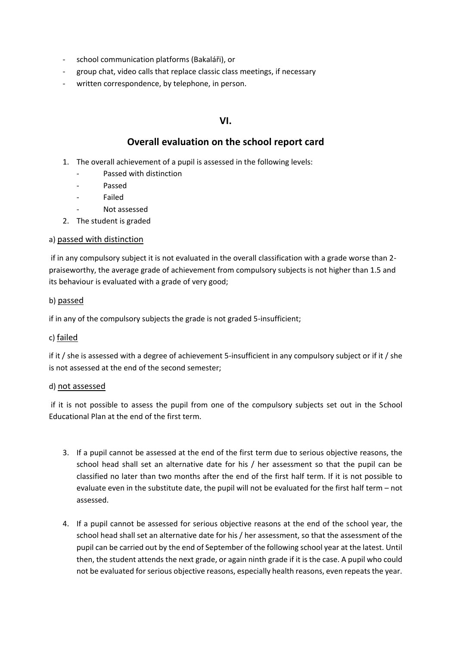- school communication platforms (Bakaláři), or
- group chat, video calls that replace classic class meetings, if necessary
- written correspondence, by telephone, in person.

### **VI.**

### **Overall evaluation on the school report card**

- 1. The overall achievement of a pupil is assessed in the following levels:
	- Passed with distinction
	- Passed
	- **Failed**
	- Not assessed
- 2. The student is graded

#### a) passed with distinction

if in any compulsory subject it is not evaluated in the overall classification with a grade worse than 2 praiseworthy, the average grade of achievement from compulsory subjects is not higher than 1.5 and its behaviour is evaluated with a grade of very good;

#### b) passed

if in any of the compulsory subjects the grade is not graded 5-insufficient;

#### c) failed

if it / she is assessed with a degree of achievement 5-insufficient in any compulsory subject or if it / she is not assessed at the end of the second semester;

#### d) not assessed

if it is not possible to assess the pupil from one of the compulsory subjects set out in the School Educational Plan at the end of the first term.

- 3. If a pupil cannot be assessed at the end of the first term due to serious objective reasons, the school head shall set an alternative date for his / her assessment so that the pupil can be classified no later than two months after the end of the first half term. If it is not possible to evaluate even in the substitute date, the pupil will not be evaluated for the first half term – not assessed.
- 4. If a pupil cannot be assessed for serious objective reasons at the end of the school year, the school head shall set an alternative date for his / her assessment, so that the assessment of the pupil can be carried out by the end of September of the following school year at the latest. Until then, the student attends the next grade, or again ninth grade if it is the case. A pupil who could not be evaluated for serious objective reasons, especially health reasons, even repeats the year.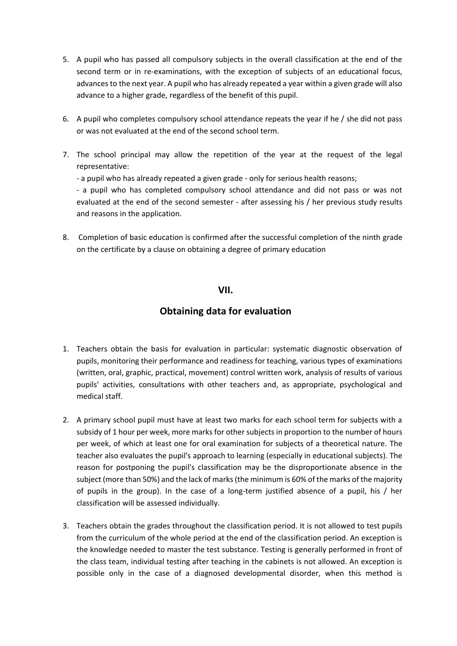- 5. A pupil who has passed all compulsory subjects in the overall classification at the end of the second term or in re-examinations, with the exception of subjects of an educational focus, advances to the next year. A pupil who has already repeated a year within a given grade will also advance to a higher grade, regardless of the benefit of this pupil.
- 6. A pupil who completes compulsory school attendance repeats the year if he / she did not pass or was not evaluated at the end of the second school term.
- 7. The school principal may allow the repetition of the year at the request of the legal representative:
	- a pupil who has already repeated a given grade only for serious health reasons;

- a pupil who has completed compulsory school attendance and did not pass or was not evaluated at the end of the second semester - after assessing his / her previous study results and reasons in the application.

8. Completion of basic education is confirmed after the successful completion of the ninth grade on the certificate by a clause on obtaining a degree of primary education

# **VII.**

# **Obtaining data for evaluation**

- 1. Teachers obtain the basis for evaluation in particular: systematic diagnostic observation of pupils, monitoring their performance and readiness for teaching, various types of examinations (written, oral, graphic, practical, movement) control written work, analysis of results of various pupils' activities, consultations with other teachers and, as appropriate, psychological and medical staff.
- 2. A primary school pupil must have at least two marks for each school term for subjects with a subsidy of 1 hour per week, more marks for other subjects in proportion to the number of hours per week, of which at least one for oral examination for subjects of a theoretical nature. The teacher also evaluates the pupil's approach to learning (especially in educational subjects). The reason for postponing the pupil's classification may be the disproportionate absence in the subject (more than 50%) and the lack of marks (the minimum is 60% of the marks of the majority of pupils in the group). In the case of a long-term justified absence of a pupil, his / her classification will be assessed individually.
- 3. Teachers obtain the grades throughout the classification period. It is not allowed to test pupils from the curriculum of the whole period at the end of the classification period. An exception is the knowledge needed to master the test substance. Testing is generally performed in front of the class team, individual testing after teaching in the cabinets is not allowed. An exception is possible only in the case of a diagnosed developmental disorder, when this method is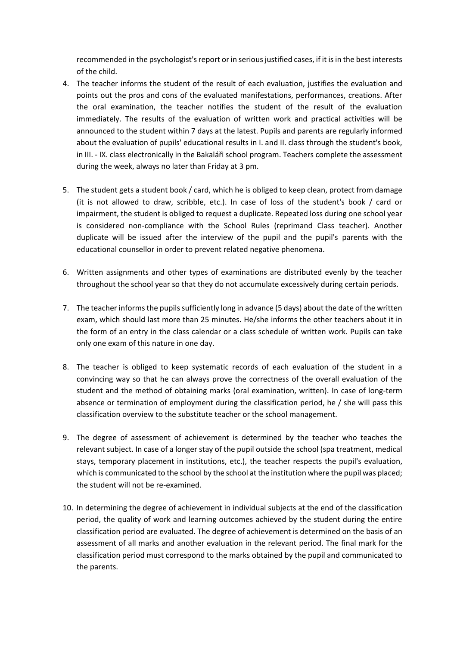recommended in the psychologist's report or in serious justified cases, if it is in the best interests of the child.

- 4. The teacher informs the student of the result of each evaluation, justifies the evaluation and points out the pros and cons of the evaluated manifestations, performances, creations. After the oral examination, the teacher notifies the student of the result of the evaluation immediately. The results of the evaluation of written work and practical activities will be announced to the student within 7 days at the latest. Pupils and parents are regularly informed about the evaluation of pupils' educational results in I. and II. class through the student's book, in III. - IX. class electronically in the Bakaláři school program. Teachers complete the assessment during the week, always no later than Friday at 3 pm.
- 5. The student gets a student book / card, which he is obliged to keep clean, protect from damage (it is not allowed to draw, scribble, etc.). In case of loss of the student's book / card or impairment, the student is obliged to request a duplicate. Repeated loss during one school year is considered non-compliance with the School Rules (reprimand Class teacher). Another duplicate will be issued after the interview of the pupil and the pupil's parents with the educational counsellor in order to prevent related negative phenomena.
- 6. Written assignments and other types of examinations are distributed evenly by the teacher throughout the school year so that they do not accumulate excessively during certain periods.
- 7. The teacher informs the pupils sufficiently long in advance (5 days) about the date of the written exam, which should last more than 25 minutes. He/she informs the other teachers about it in the form of an entry in the class calendar or a class schedule of written work. Pupils can take only one exam of this nature in one day.
- 8. The teacher is obliged to keep systematic records of each evaluation of the student in a convincing way so that he can always prove the correctness of the overall evaluation of the student and the method of obtaining marks (oral examination, written). In case of long-term absence or termination of employment during the classification period, he / she will pass this classification overview to the substitute teacher or the school management.
- 9. The degree of assessment of achievement is determined by the teacher who teaches the relevant subject. In case of a longer stay of the pupil outside the school (spa treatment, medical stays, temporary placement in institutions, etc.), the teacher respects the pupil's evaluation, which is communicated to the school by the school at the institution where the pupil was placed; the student will not be re-examined.
- 10. In determining the degree of achievement in individual subjects at the end of the classification period, the quality of work and learning outcomes achieved by the student during the entire classification period are evaluated. The degree of achievement is determined on the basis of an assessment of all marks and another evaluation in the relevant period. The final mark for the classification period must correspond to the marks obtained by the pupil and communicated to the parents.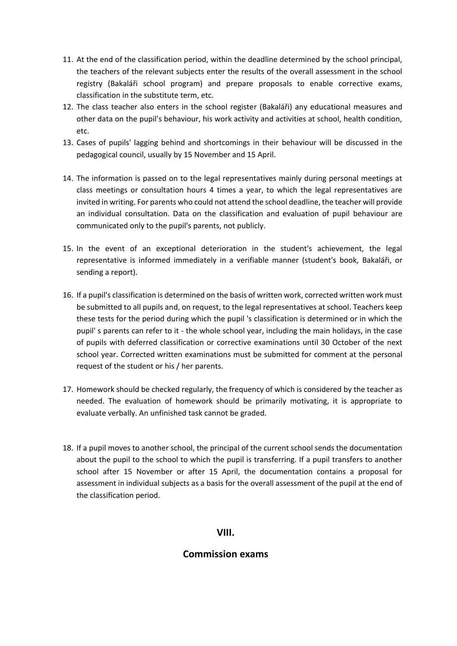- 11. At the end of the classification period, within the deadline determined by the school principal, the teachers of the relevant subjects enter the results of the overall assessment in the school registry (Bakaláři school program) and prepare proposals to enable corrective exams, classification in the substitute term, etc.
- 12. The class teacher also enters in the school register (Bakaláři) any educational measures and other data on the pupil's behaviour, his work activity and activities at school, health condition, etc.
- 13. Cases of pupils' lagging behind and shortcomings in their behaviour will be discussed in the pedagogical council, usually by 15 November and 15 April.
- 14. The information is passed on to the legal representatives mainly during personal meetings at class meetings or consultation hours 4 times a year, to which the legal representatives are invited in writing. For parents who could not attend the school deadline, the teacher will provide an individual consultation. Data on the classification and evaluation of pupil behaviour are communicated only to the pupil's parents, not publicly.
- 15. In the event of an exceptional deterioration in the student's achievement, the legal representative is informed immediately in a verifiable manner (student's book, Bakaláři, or sending a report).
- 16. If a pupil's classification is determined on the basis of written work, corrected written work must be submitted to all pupils and, on request, to the legal representatives at school. Teachers keep these tests for the period during which the pupil 's classification is determined or in which the pupil' s parents can refer to it - the whole school year, including the main holidays, in the case of pupils with deferred classification or corrective examinations until 30 October of the next school year. Corrected written examinations must be submitted for comment at the personal request of the student or his / her parents.
- 17. Homework should be checked regularly, the frequency of which is considered by the teacher as needed. The evaluation of homework should be primarily motivating, it is appropriate to evaluate verbally. An unfinished task cannot be graded.
- 18. If a pupil moves to another school, the principal of the current school sends the documentation about the pupil to the school to which the pupil is transferring. If a pupil transfers to another school after 15 November or after 15 April, the documentation contains a proposal for assessment in individual subjects as a basis for the overall assessment of the pupil at the end of the classification period.

## **VIII.**

## **Commission exams**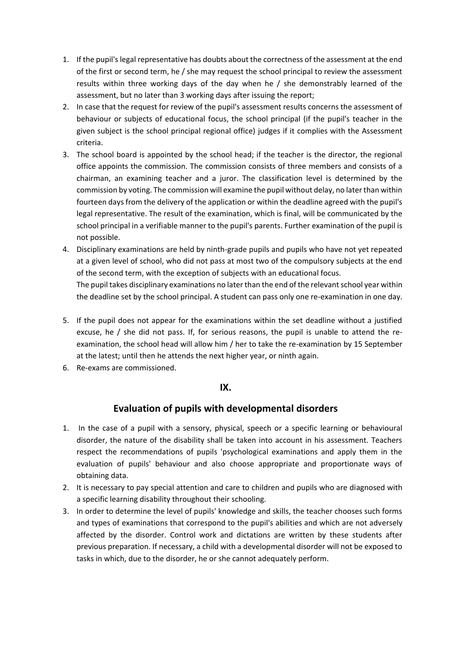- 1. If the pupil's legal representative has doubts about the correctness of the assessment at the end of the first or second term, he / she may request the school principal to review the assessment results within three working days of the day when he / she demonstrably learned of the assessment, but no later than 3 working days after issuing the report;
- 2. In case that the request for review of the pupil's assessment results concerns the assessment of behaviour or subjects of educational focus, the school principal (if the pupil's teacher in the given subject is the school principal regional office) judges if it complies with the Assessment criteria.
- 3. The school board is appointed by the school head; if the teacher is the director, the regional office appoints the commission. The commission consists of three members and consists of a chairman, an examining teacher and a juror. The classification level is determined by the commission by voting. The commission will examine the pupil without delay, no later than within fourteen days from the delivery of the application or within the deadline agreed with the pupil's legal representative. The result of the examination, which is final, will be communicated by the school principal in a verifiable manner to the pupil's parents. Further examination of the pupil is not possible.
- 4. Disciplinary examinations are held by ninth-grade pupils and pupils who have not yet repeated at a given level of school, who did not pass at most two of the compulsory subjects at the end of the second term, with the exception of subjects with an educational focus. The pupil takes disciplinary examinations no later than the end of the relevant school year within

the deadline set by the school principal. A student can pass only one re-examination in one day.

- 5. If the pupil does not appear for the examinations within the set deadline without a justified excuse, he / she did not pass. If, for serious reasons, the pupil is unable to attend the reexamination, the school head will allow him / her to take the re-examination by 15 September at the latest; until then he attends the next higher year, or ninth again.
- 6. Re-exams are commissioned.

## **IX.**

# **Evaluation of pupils with developmental disorders**

- 1. In the case of a pupil with a sensory, physical, speech or a specific learning or behavioural disorder, the nature of the disability shall be taken into account in his assessment. Teachers respect the recommendations of pupils 'psychological examinations and apply them in the evaluation of pupils' behaviour and also choose appropriate and proportionate ways of obtaining data.
- 2. It is necessary to pay special attention and care to children and pupils who are diagnosed with a specific learning disability throughout their schooling.
- 3. In order to determine the level of pupils' knowledge and skills, the teacher chooses such forms and types of examinations that correspond to the pupil's abilities and which are not adversely affected by the disorder. Control work and dictations are written by these students after previous preparation. If necessary, a child with a developmental disorder will not be exposed to tasks in which, due to the disorder, he or she cannot adequately perform.